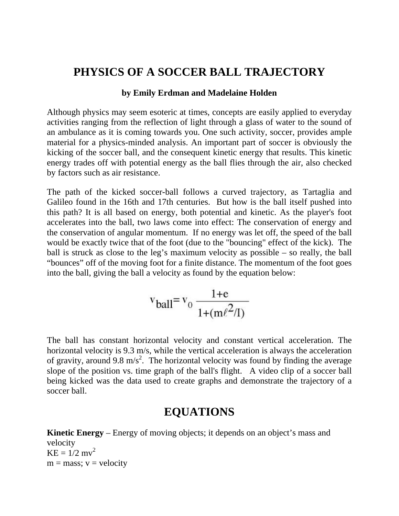## **PHYSICS OF A SOCCER BALL TRAJECTORY**

## **by Emily Erdman and Madelaine Holden**

Although physics may seem esoteric at times, concepts are easily applied to everyday activities ranging from the reflection of light through a glass of water to the sound of an ambulance as it is coming towards you. One such activity, soccer, provides ample material for a physics-minded analysis. An important part of soccer is obviously the kicking of the soccer ball, and the consequent kinetic energy that results. This kinetic energy trades off with potential energy as the ball flies through the air, also checked by factors such as air resistance.

The path of the kicked soccer-ball follows a curved trajectory, as Tartaglia and Galileo found in the 16th and 17th centuries. But how is the ball itself pushed into this path? It is all based on energy, both potential and kinetic. As the player's foot accelerates into the ball, two laws come into effect: The conservation of energy and the conservation of angular momentum. If no energy was let off, the speed of the ball would be exactly twice that of the foot (due to the "bouncing" effect of the kick). The ball is struck as close to the leg's maximum velocity as possible – so really, the ball "bounces" off of the moving foot for a finite distance. The momentum of the foot goes into the ball, giving the ball a velocity as found by the equation below:

$$
v_{\text{ball}} = v_0 \frac{1 + e}{1 + (m\ell^2/I)}
$$

The ball has constant horizontal velocity and constant vertical acceleration. The horizontal velocity is 9.3 m/s, while the vertical acceleration is always the acceleration of gravity, around 9.8 m/s<sup>2</sup>. The horizontal velocity was found by finding the average slope of the position vs. time graph of the ball's flight. A video clip of a soccer ball being kicked was the data used to create graphs and demonstrate the trajectory of a soccer ball.

## **EQUATIONS**

**Kinetic Energy** – Energy of moving objects; it depends on an object's mass and velocity  $KE = 1/2$  mv<sup>2</sup>  $m = mass$ ;  $v = velocity$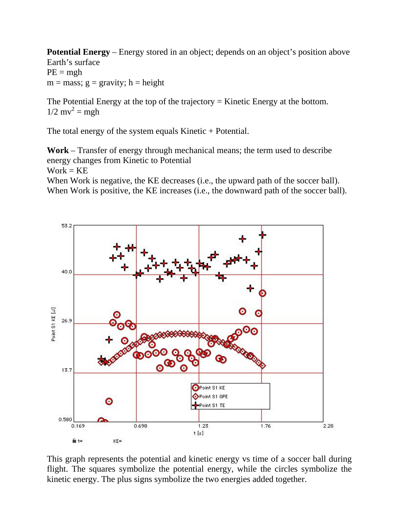**Potential Energy** – Energy stored in an object; depends on an object's position above Earth's surface  $PE = mgh$  $m = mass$ ;  $g = gravity$ ;  $h = height$ 

The Potential Energy at the top of the trajectory  $=$  Kinetic Energy at the bottom.  $1/2$  mv<sup>2</sup> = mgh

The total energy of the system equals Kinetic + Potential.

**Work** – Transfer of energy through mechanical means; the term used to describe energy changes from Kinetic to Potential

 $Work = KE$ 

When Work is negative, the KE decreases (i.e., the upward path of the soccer ball). When Work is positive, the KE increases (i.e., the downward path of the soccer ball).



This graph represents the potential and kinetic energy vs time of a soccer ball during flight. The squares symbolize the potential energy, while the circles symbolize the kinetic energy. The plus signs symbolize the two energies added together.